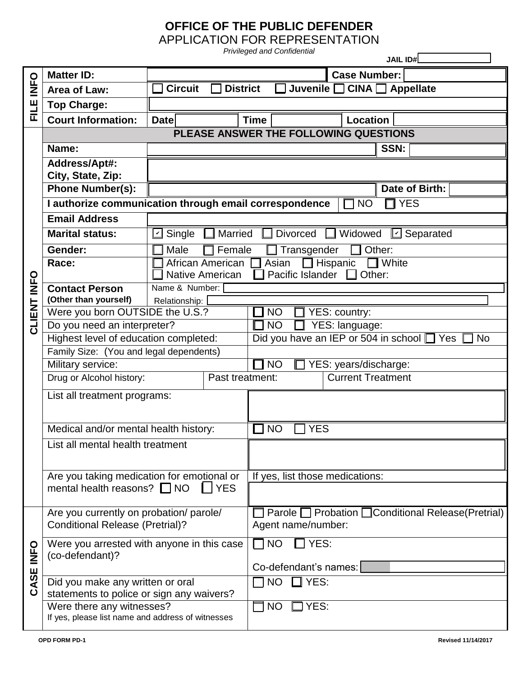## **OFFICE OF THE PUBLIC DEFENDER**

APPLICATION FOR REPRESENTATION *Privileged and Confidential*

**JAIL ID#\_\_\_\_\_\_\_\_\_\_\_\_\_\_\_\_\_ FILE INFO Matter ID: Case Number:**  Area of Law:  $\Box$  Circuit  $\Box$  District  $\Box$  Juvenile  $\Box$  CINA  $\Box$  Appellate **Top Charge: Court Information:**  $\sqrt{ }$  Date Time Discount Decation **PLEASE ANSWER THE FOLLOWING QUESTIONS CLIENT INFO Name:**  $\qquad$  | **SSN: Address/Apt#: City, State, Zip:** Phone Number(s):  $\sqrt{ }$ **I authorize communication through email correspondence**  $\Box$  NO  $\Box$  YES **Email Address Marital status:**  $\boxed{V}$  Single ■ Married ■ Divorced ■ Widowed ■ Separated Gender:  $\Box$  Male  $\Box$  Female  $\Box$  Transgender  $\Box$  Other: **Race:**  $\Box$  African American  $\Box$  Asian  $\Box$  Hispanic  $\Box$  White Native American  $\Box$  Pacific Islander  $\Box$  Other: **Contact Person (Other than yourself)** Name & Number: Relationship: Were you born OUTSIDE the U.S.?  $\Box$  NO  $\Box$  YES: country: Do you need an interpreter?  $\Box$  NO  $\Box$  YES: language: Highest level of education completed:  $\Box$  Did you have an IEP or 504 in school  $\Box$  Yes  $\Box$  No Family Size: (You and legal dependents) Military service:  $\Box$  NO  $\Box$  YES: years/discharge: Drug or Alcohol history: <br> **Past treatment:** Current Treatment List all treatment programs: Medical and/or mental health history:  $\Box$  NO  $\Box$  YES List all mental health treatment Are you taking medication for emotional or mental health reasons?  $\Box$  NO  $\Box$  YES If yes, list those medications: **CASE INFO** Are you currently on probation/ parole/ Conditional Release (Pretrial)? □ Parole □ Probation □ Conditional Release(Pretrial) Agent name/number: Were you arrested with anyone in this case (co-defendant)?  $\Box$  NO  $\Box$  YES: Co-defendant's names: Did you make any written or oral statements to police or sign any waivers?  $\sqsupset$  NO  $\sqcap$  YES: Were there any witnesses? If yes, please list name and address of witnesses  $\Box$  NO  $\Box$  Yes: